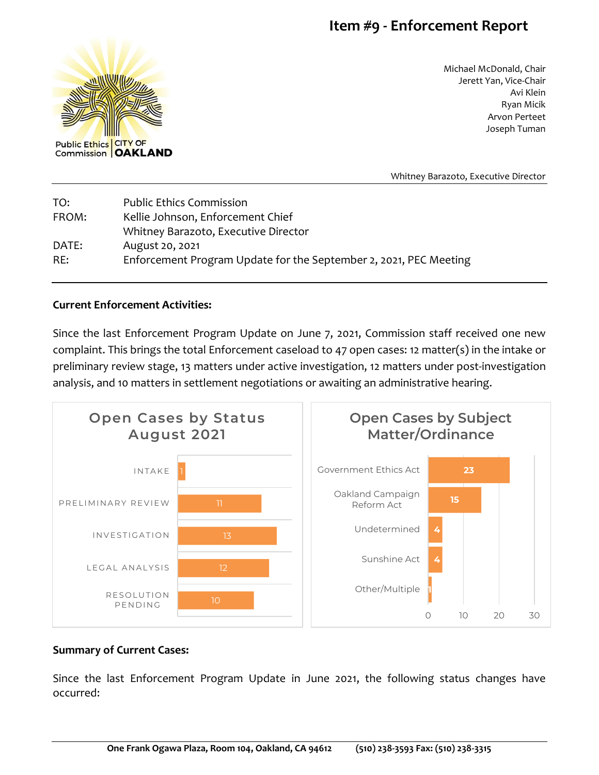## **Item #9 - Enforcement Report**



Michael McDonald, Chair Jerett Yan, Vice-Chair Avi Klein Ryan Micik Arvon Perteet Joseph Tuman

Whitney Barazoto, Executive Director

| TO:   | <b>Public Ethics Commission</b>                                   |
|-------|-------------------------------------------------------------------|
| FROM: | Kellie Johnson, Enforcement Chief                                 |
|       | Whitney Barazoto, Executive Director                              |
| DATE: | August 20, 2021                                                   |
| RE:   | Enforcement Program Update for the September 2, 2021, PEC Meeting |

## **Current Enforcement Activities:**

Since the last Enforcement Program Update on June 7, 2021, Commission staff received one new complaint. This brings the total Enforcement caseload to 47 open cases: 12 matter(s) in the intake or preliminary review stage, 13 matters under active investigation, 12 matters under post-investigation analysis, and 10 matters in settlement negotiations or awaiting an administrative hearing.



## **Summary of Current Cases:**

Since the last Enforcement Program Update in June 2021, the following status changes have occurred: